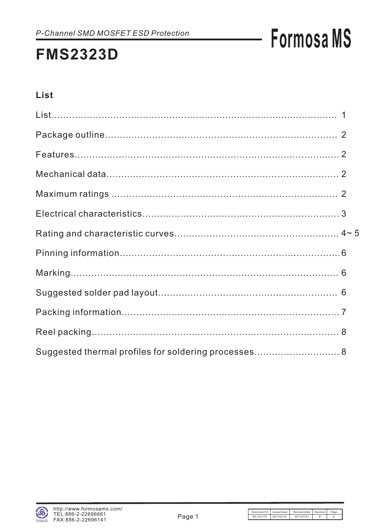### **FMS2323D**

### **List**

| Suggested thermal profiles for soldering processes 8 |  |
|------------------------------------------------------|--|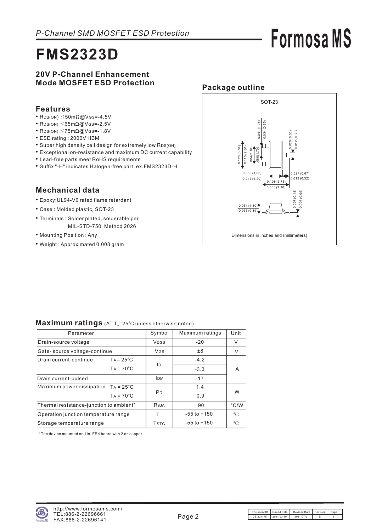### **FMS2323D**

### **20V P-Channel Enhancement Mode MOSFET ESD Protection**

### **Features**

- $RDS(ON) \leq 50m\Omega \omega$ V GS = -4.5V
- RDS(ON)  $\leq$  65m $\Omega$ @VGS = -2.5V
- RDS(ON)  $\leq$ 75m $\Omega$ @VGS=-1.8V
- ESD rating : 2000V HBM
- Super high density cell design for extremely low RDS(ON)
- Exceptional on-resistance and maximum DC current capability
- Lead-free parts meet RoHS requirements
- Suffix "-H" indicates Halogen-free part, ex.FMS2323D-H

### **Mechanical data**

- Epoxy:UL94-V0 rated flame retardant
- Case : Molded plastic, SOT-23
- Terminals : Solder plated, solderable per MIL-STD-750, Method 2026
- Mounting Position : Any
- Weight : Approximated 0.008 gram



**Formosa MS**

| Parameter                                    | Symbol                               | Maximum ratings | Unit         |               |  |
|----------------------------------------------|--------------------------------------|-----------------|--------------|---------------|--|
| Drain-source voltage                         | <b>VDSS</b>                          | $-20$           | V            |               |  |
| Gate-source voltage-continue                 |                                      | VGS             | ±8           |               |  |
| Drain current-continue                       | $TA = 25^{\circ}C$                   |                 | $-4.2$       |               |  |
|                                              | $TA = 70^{\circ}C$                   | İD              | $-3.3$       | A             |  |
| Drain current-pulsed                         |                                      | <b>IDM</b>      | $-17$        |               |  |
| Maximum power dissipation $TA = 25^{\circ}C$ |                                      | 1.4             |              |               |  |
|                                              | $TA = 70^{\circ}C$                   | P <sub>D</sub>  | 0.9          | W             |  |
| Thermal resistance-junction to ambient*      |                                      | Reja            | 90           | $\degree$ C/W |  |
| Operation junction temperature range         | TJ                                   | $-55$ to $+150$ | $^{\circ}$ C |               |  |
| Storage temperature range                    | <b>T</b> <sub>S</sub> T <sub>G</sub> | $-55$ to $+150$ | $^{\circ}C$  |               |  |

#### Maximum ratings (AT T<sub>A</sub>=25°C unless otherwise noted)

 $*$  The device mounted on  $1$ in $2$  FR4 board with 2 oz copper

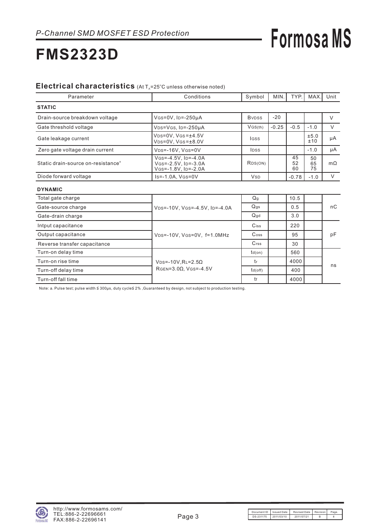### **FMS2323D**

#### Electrical characteristics (At T<sub>A</sub>=25°C unless otherwise noted)

| Parameter                                      | Conditions                                                           | Symbol                                | MIN.    | TYP.           | <b>MAX</b>     | Unit      |
|------------------------------------------------|----------------------------------------------------------------------|---------------------------------------|---------|----------------|----------------|-----------|
| <b>STATIC</b>                                  |                                                                      |                                       |         |                |                |           |
| Drain-source breakdown voltage                 | VGs=0V, ID=-250µA                                                    | <b>B</b> <sub>v</sub> D <sub>ss</sub> | $-20$   |                |                | $\vee$    |
| Gate threshold voltage                         | $V$ <sub>DS</sub> = $V$ <sub>GS</sub> , I <sub>D</sub> =-250 $\mu$ A | VGS(th)                               | $-0.25$ | $-0.5$         | $-1.0$         | V         |
| Gate leakage current                           | $VDS=0V$ , $VGS=±4.5V$<br>$VDS=0V$ , $VGS=\pm 8.0V$                  | lgss                                  |         |                | ±5.0<br>±10    | μA        |
| Zero gate voltage drain current                | VDS=-16V, VGS=0V                                                     | <b>IDSS</b>                           |         |                | $-1.0$         | μA        |
| Static drain-source on-resistance <sup>®</sup> | $V$ GS=-4.5V, ID=-4.0A<br>VGS=-2.5V, ID=-3.0A<br>VGS=-1.8V, ID=-2.0A | R <sub>DS</sub> (ON)                  |         | 45<br>52<br>60 | 50<br>65<br>75 | $m\Omega$ |
| Diode forward voltage                          | $Is = -1.0A$ , $V(s = 0V)$                                           | <b>V</b> sp                           |         | $-0.78$        | $-1.0$         | V         |
| <b>DYNAMIC</b>                                 |                                                                      |                                       |         |                |                |           |
| Total gate charge                              |                                                                      | Q <sub>g</sub>                        |         | 10.5           |                |           |
| Gate-source charge                             | VDS=-10V, VGS=-4.5V, ID=-4.0A                                        | $Q$ gs                                |         | 0.5            |                | nC        |
| Gate-drain charge                              |                                                                      | $Q$ gd                                |         | 3.0            |                |           |

| Gate-drain charge            |                               | Qgd           | 3.0  |    |
|------------------------------|-------------------------------|---------------|------|----|
| Intput capacitance           |                               | Ciss          | 220  |    |
| Output capacitance           | VDS=-10V, VGS=0V, f=1.0MHz    | Coss          | 95   | рF |
| Reverse transfer capacitance |                               | Crss          | 30   |    |
| Turn-on delay time           |                               | $td($ on $)$  | 560  |    |
| Turn-on rise time            | $VDS = -10V, R = 2.5\Omega$   |               | 4000 | ns |
| Turn-off delay time          | RGEN= $3.0\Omega$ , VGS=-4.5V | $td($ off $)$ | 400  |    |
| Turn-off fall time           |                               |               | 4000 |    |

Note: a. Pulse test; pulse width ≦ 300μs, duty cycle≦ 2% ,Guaranteed by design, not subject to production testing.

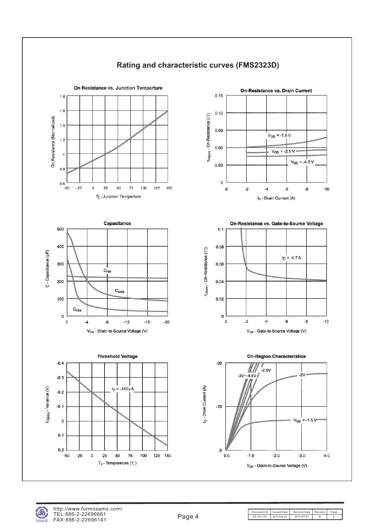

Document ID Issued Date Revised Date Revision Page<br>DS-231175 2011/03/10 2011/07/21 B 8 DS-231175 2011/03/10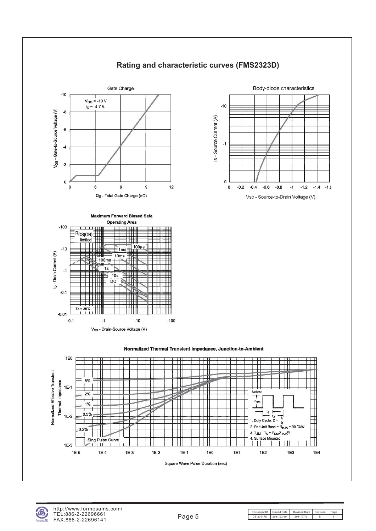

### **Rating and characteristic curves (FMS2323D)**











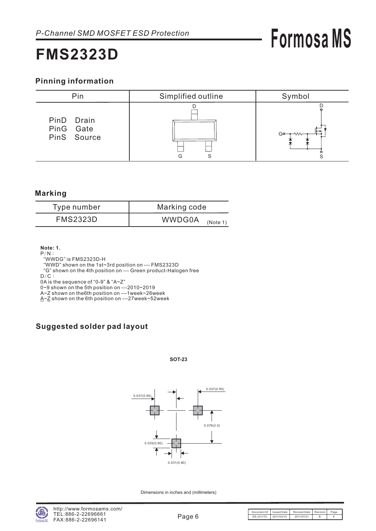### **FMS2323D**

### **Pinning information**



#### **Marking**

| Type number     | Marking code              |  |  |
|-----------------|---------------------------|--|--|
| <b>FMS2323D</b> | <b>WWDG0A</b><br>(Note 1) |  |  |

**Note: 1.**

 $P/N$ : "WWDG" is FMS2323D-H

"WWD" shown on the 1st~3rd position on --- FMS2323D

- "G" shown on the 4th position on --- Green product-Halogen free
- $D/C$ :

0A is the sequence of "0-9" & "A~Z"

0~9 shown on the 5th position on ---2010~2019

A~Z shown on the6th position on ---1week~26week

 $\underline{A} \sim \underline{Z}$  shown on the 6th position on ---27week~52week

### **Suggested solder pad layout**

#### **SOT-23**



Dimensions in inches and (millimeters)

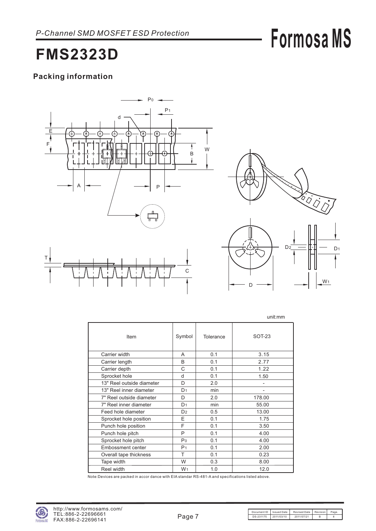### **FMS2323D**

### **Packing information**





|                           |                |           | unit:mm  |
|---------------------------|----------------|-----------|----------|
| Item                      | Symbol         | Tolerance | $SOT-23$ |
| Carrier width             | A              | 0.1       | 3.15     |
| Carrier length            | B              | 0.1       | 2.77     |
| Carrier depth             | C              | 0.1       | 1.22     |
| Sprocket hole             | d              | 0.1       | 1.50     |
| 13" Reel outside diameter | D              | 2.0       |          |
| 13" Reel inner diameter   | D <sub>1</sub> | min       |          |
| 7" Reel outside diameter  | D              | 2.0       | 178.00   |
| 7" Reel inner diameter    | D <sub>1</sub> | min       | 55.00    |
| Feed hole diameter        | D <sub>2</sub> | 0.5       | 13.00    |
| Sprocket hole position    | E              | 0.1       | 1.75     |
| Punch hole position       | F              | 0.1       | 3.50     |
| Punch hole pitch          | P              | 0.1       | 4.00     |
| Sprocket hole pitch       | P <sub>0</sub> | 0.1       | 4.00     |
| Embossment center         | P <sub>1</sub> | 0.1       | 2.00     |
| Overall tape thickness    | т              | 0.1       | 0.23     |
| Tape width                | W              | 0.3       | 8.00     |
| Reel width                | W <sub>1</sub> | 1.0       | 12.0     |

Note:Devices are packed in accor dance with EIA standar RS-481-A and specifications listed above.